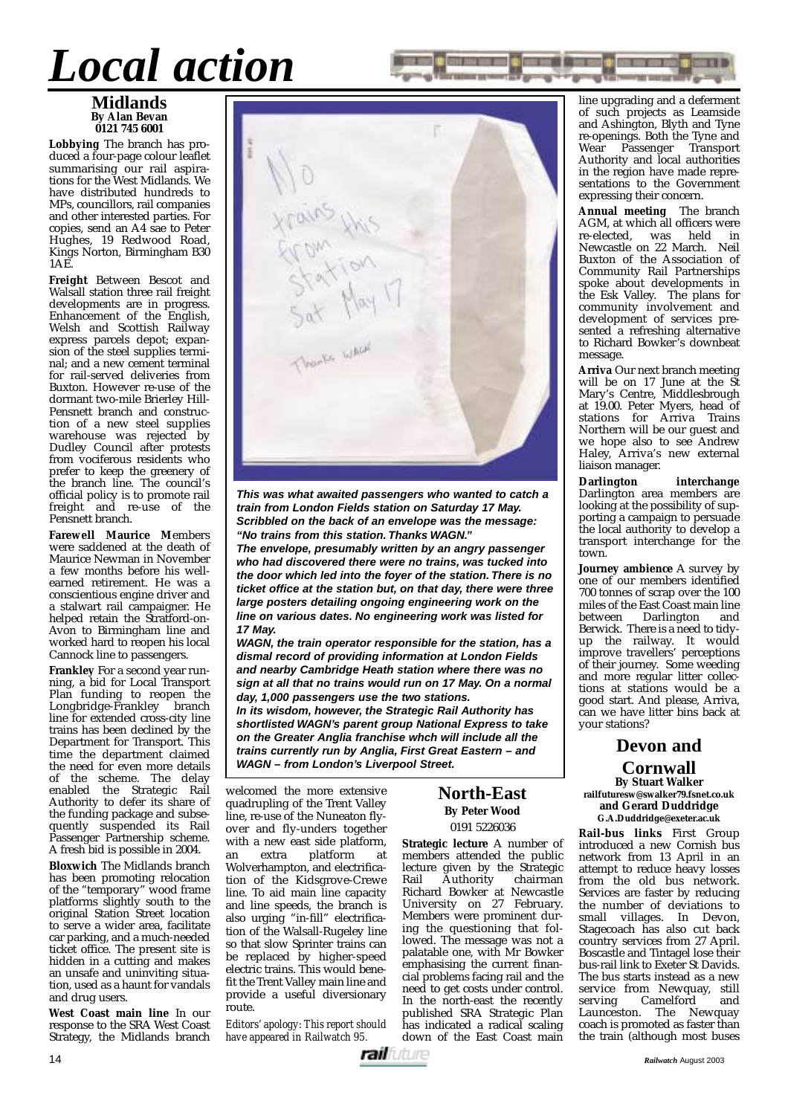## *Local action*

#### **Midlands By Alan Bevan 0121 745 6001**

**Lobbying** The branch has produced a four-page colour leaflet summarising our rail aspirations for the West Midlands. We have distributed hundreds to MPs, councillors, rail companies and other interested parties. For copies, send an A4 sae to Peter Hughes, 19 Redwood Road, Kings Norton, Birmingham B30 1AE.

**Freight** Between Bescot and Walsall station three rail freight developments are in progress. Enhancement of the English, Welsh and Scottish Railway express parcels depot; expansion of the steel supplies terminal; and a new cement terminal for rail-served deliveries from Buxton. However re-use of the dormant two-mile Brierley Hill-Pensnett branch and construction of a new steel supplies warehouse was rejected by Dudley Council after protests from vociferous residents who prefer to keep the greenery of the branch line. The council's official policy is to promote rail freight and re-use of the Pensnett branch.

**Farewell Maurice M**embers were saddened at the death of Maurice Newman in November a few months before his wellearned retirement. He was a conscientious engine driver and a stalwart rail campaigner. He helped retain the Stratford-on-Avon to Birmingham line and worked hard to reopen his local Cannock line to passengers.

**Frankley** For a second year running, a bid for Local Transport Plan funding to reopen the<br>Longbridge-Frankley branch Longbridge-Frankley line for extended cross-city line trains has been declined by the Department for Transport. This time the department claimed the need for even more details of the scheme. The delay enabled the Strategic Rail Authority to defer its share of the funding package and subsequently suspended its Rail Passenger Partnership scheme. A fresh bid is possible in 2004.

**Bloxwich** The Midlands branch has been promoting relocation of the "temporary" wood frame platforms slightly south to the original Station Street location to serve a wider area, facilitate car parking, and a much-needed ticket office. The present site is hidden in a cutting and makes an unsafe and uninviting situation, used as a haunt for vandals and drug users.

**West Coast main line** In our response to the SRA West Coast Strategy, the Midlands branch



**This was what awaited passengers who wanted to catch a train from London Fields station on Saturday 17 May. Scribbled on the back of an envelope was the message: "No trains from this station. Thanks WAGN."**

**The envelope, presumably written by an angry passenger who had discovered there were no trains, was tucked into the door which led into the foyer of the station. There is no ticket office at the station but, on that day, there were three large posters detailing ongoing engineering work on the line on various dates. No engineering work was listed for 17 May.**

**WAGN, the train operator responsible for the station, has a dismal record of providing information at London Fields and nearby Cambridge Heath station where there was no sign at all that no trains would run on 17 May. On a normal day, 1,000 passengers use the two stations.**

**In its wisdom, however, the Strategic Rail Authority has shortlisted WAGN's parent group National Express to take on the Greater Anglia franchise whch will include all the trains currently run by Anglia, First Great Eastern – and WAGN – from London's Liverpool Street.**

welcomed the more extensive quadrupling of the Trent Valley line, re-use of the Nuneaton flyover and fly-unders together with a new east side platform,<br>an extra platform at platform Wolverhampton, and electrification of the Kidsgrove-Crewe line. To aid main line capacity and line speeds, the branch is also urging "in-fill" electrification of the Walsall-Rugeley line so that slow Sprinter trains can be replaced by higher-speed electric trains. This would benefit the Trent Valley main line and provide a useful diversionary route.

*Editors' apology: This report should have appeared in Railwatch 95.*

## **North-East By Peter Wood**

0191 5226036

**Strategic lecture** A number of members attended the public lecture given by the Strategic Authority Richard Bowker at Newcastle University on 27 February. Members were prominent during the questioning that followed. The message was not a palatable one, with Mr Bowker emphasising the current financial problems facing rail and the need to get costs under control. In the north-east the recently published SRA Strategic Plan has indicated a radical scaling down of the East Coast main

line upgrading and a deferment of such projects as Leamside and Ashington, Blyth and Tyne re-openings. Both the Tyne and Wear Passenger Transport Authority and local authorities in the region have made representations to the Government expressing their concern.

**Annual meeting** The branch AGM, at which all officers were re-elected, was held in Newcastle on 22 March. Neil Buxton of the Association of Community Rail Partnerships spoke about developments in the Esk Valley. The plans for community involvement and development of services presented a refreshing alternative to Richard Bowker's downbeat message.

**Arriva** Our next branch meeting will be on 17 June at the St Mary's Centre, Middlesbrough at 19.00. Peter Myers, head of stations for Arriva Trains Northern will be our guest and we hope also to see Andrew Haley, Arriva's new external liaison manager.

**Darlington interchange** Darlington area members are looking at the possibility of supporting a campaign to persuade the local authority to develop a transport interchange for the town.

**Journey ambience** A survey by one of our members identified 700 tonnes of scrap over the 100 miles of the East Coast main line<br>between Darlington and Darlington Berwick. There is a need to tidyup the railway. It would improve travellers' perceptions of their journey. Some weeding and more regular litter collections at stations would be a good start. And please, Arriva, can we have litter bins back at your stations?

**Devon and**

**Cornwall By Stuart Walker railfuturesw@swalker79.fsnet.co.uk and Gerard Duddridge G.A.Duddridge@exeter.ac.uk**

**Rail-bus links** First Group introduced a new Cornish bus network from 13 April in an attempt to reduce heavy losses from the old bus network. Services are faster by reducing the number of deviations to small villages. In Devon, Stagecoach has also cut back country services from 27 April. Boscastle and Tintagel lose their bus-rail link to Exeter St Davids. The bus starts instead as a new service from Newquay, still serving Camelford and Launceston. The Newquay coach is promoted as faster than the train (although most buses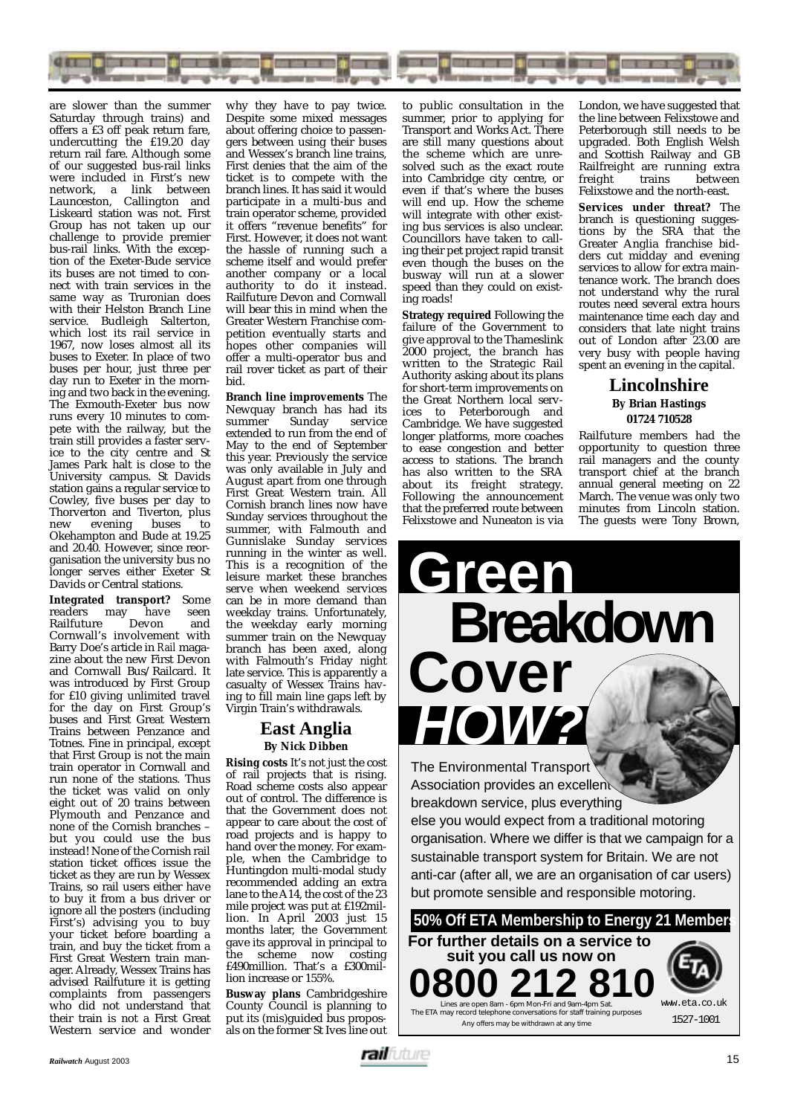

are slower than the summer Saturday through trains) and offers a £3 off peak return fare, undercutting the £19.20 day return rail fare. Although some of our suggested bus-rail links were included in First's new network, a link between Launceston, Callington and Liskeard station was not. First Group has not taken up our challenge to provide premier bus-rail links. With the exception of the Exeter-Bude service its buses are not timed to connect with train services in the same way as Truronian does with their Helston Branch Line service. Budleigh Salterton, which lost its rail service in 1967, now loses almost all its buses to Exeter. In place of two buses per hour, just three per day run to Exeter in the morning and two back in the evening. The Exmouth-Exeter bus now runs every 10 minutes to compete with the railway, but the train still provides a faster service to the city centre and St James Park halt is close to the University campus. St Davids station gains a regular service to Cowley, five buses per day to Thorverton and Tiverton, plus<br>new evening buses to new evening buses to Okehampton and Bude at 19.25 and 20.40. However, since reorganisation the university bus no longer serves either Exeter St Davids or Central stations.

**Integrated transport?** Some<br>readers may have seen readers may have seen<br>Railfuture Devon and Railfuture Cornwall's involvement with Barry Doe's article in *Rail* magazine about the new First Devon and Cornwall Bus/Railcard. It was introduced by First Group for £10 giving unlimited travel for the day on First Group's buses and First Great Western Trains between Penzance and Totnes. Fine in principal, except that First Group is not the main train operator in Cornwall and run none of the stations. Thus the ticket was valid on only eight out of 20 trains between Plymouth and Penzance and none of the Cornish branches – but you could use the bus instead! None of the Cornish rail station ticket offices issue the ticket as they are run by Wessex Trains, so rail users either have to buy it from a bus driver or ignore all the posters (including First's) advising you to buy your ticket before boarding a train, and buy the ticket from a First Great Western train manager. Already, Wessex Trains has advised Railfuture it is getting complaints from passengers who did not understand that their train is not a First Great Western service and wonder

why they have to pay twice. Despite some mixed messages about offering choice to passengers between using their buses and Wessex's branch line trains, First denies that the aim of the ticket is to compete with the branch lines. It has said it would participate in a multi-bus and train operator scheme, provided it offers "revenue benefits" for First. However, it does not want the hassle of running such a scheme itself and would prefer another company or a local authority to do it instead. Railfuture Devon and Cornwall will bear this in mind when the Greater Western Franchise competition eventually starts and hopes other companies will offer a multi-operator bus and rail rover ticket as part of their bid.

**Branch line improvements** The Newquay branch has had its<br>summer Sunday service summer Sunday service extended to run from the end of May to the end of September this year. Previously the service was only available in July and August apart from one through First Great Western train. All Cornish branch lines now have Sunday services throughout the summer, with Falmouth and Gunnislake Sunday services running in the winter as well. This is a recognition of the leisure market these branches serve when weekend services can be in more demand than weekday trains. Unfortunately, the weekday early morning summer train on the Newquay branch has been axed, along with Falmouth's Friday night late service. This is apparently a casualty of Wessex Trains having to fill main line gaps left by Virgin Train's withdrawals.

## **East Anglia By Nick Dibben**

**Rising costs** It's not just the cost of rail projects that is rising. Road scheme costs also appear out of control. The difference is that the Government does not appear to care about the cost of road projects and is happy to hand over the money. For example, when the Cambridge to Huntingdon multi-modal study recommended adding an extra lane to the A14, the cost of the 23 mile project was put at £192million. In April 2003 just 15 months later, the Government gave its approval in principal to the scheme now costing £490million. That's a £300million increase or 155%.

**Busway plans** Cambridgeshire County Council is planning to put its (mis)guided bus proposals on the former St Ives line out to public consultation in the summer, prior to applying for Transport and Works Act. There are still many questions about the scheme which are unresolved such as the exact route into Cambridge city centre, or even if that's where the buses will end up. How the scheme will integrate with other existing bus services is also unclear. Councillors have taken to calling their pet project rapid transit even though the buses on the busway will run at a slower speed than they could on existing roads!

**Strategy required** Following the failure of the Government to give approval to the Thameslink 2000 project, the branch has written to the Strategic Rail Authority asking about its plans for short-term improvements on the Great Northern local services to Peterborough and Cambridge. We have suggested longer platforms, more coaches to ease congestion and better access to stations. The branch has also written to the SRA about its freight strategy. Following the announcement that the preferred route between Felixstowe and Nuneaton is via

London, we have suggested that the line between Felixstowe and Peterborough still needs to be upgraded. Both English Welsh and Scottish Railway and GB Railfreight are running extra<br>freight trains between between Felixstowe and the north-east.

**Services under threat?** The branch is questioning suggestions by the SRA that the Greater Anglia franchise bidders cut midday and evening services to allow for extra maintenance work. The branch does not understand why the rural routes need several extra hours maintenance time each day and considers that late night trains out of London after 23.00 are very busy with people having spent an evening in the capital.

### **Lincolnshire By Brian Hastings 01724 710528**

Railfuture members had the opportunity to question three rail managers and the county transport chief at the branch annual general meeting on 22 March. The venue was only two minutes from Lincoln station. The guests were Tony Brown,

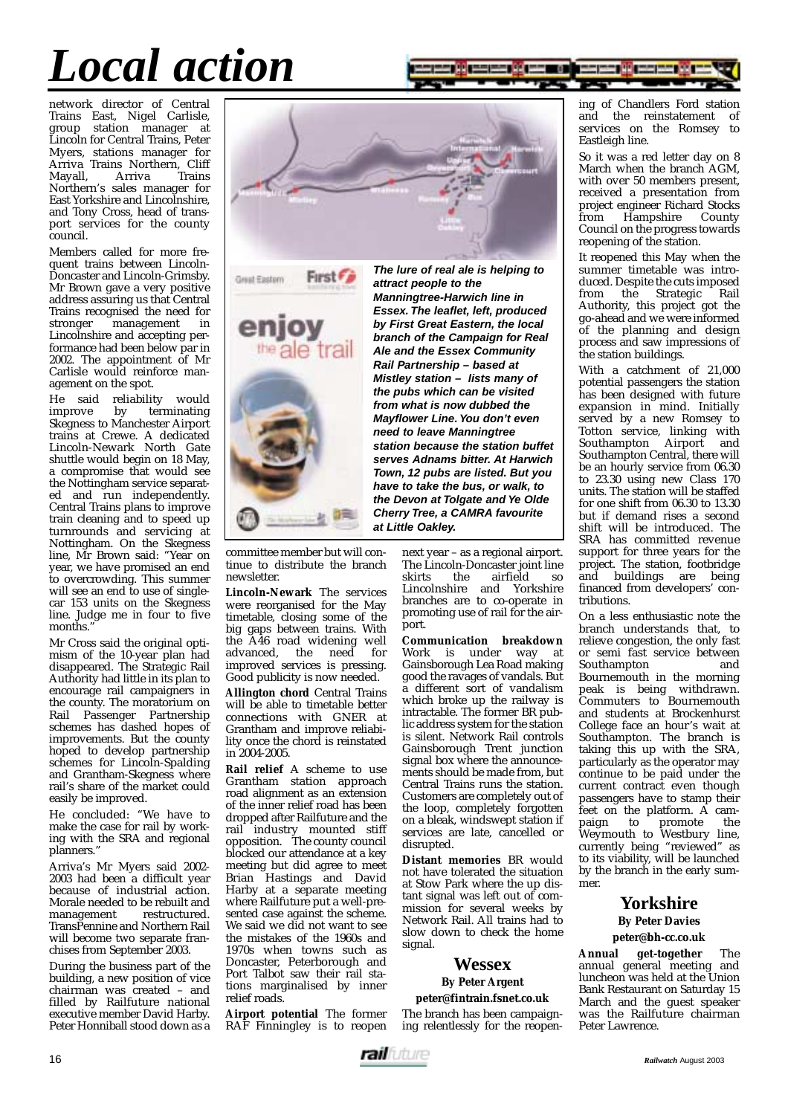# *Local action*



network director of Central Trains East, Nigel Carlisle, group station manager at Lincoln for Central Trains, Peter Myers, stations manager for Arriva Trains Northern, Cliff<br>Mavall Arriva Trains Mayall, Arriva Trains Northern's sales manager for East Yorkshire and Lincolnshire, and Tony Cross, head of transport services for the county council.

Members called for more frequent trains between Lincoln-Doncaster and Lincoln-Grimsby. Mr Brown gave a very positive address assuring us that Central Trains recognised the need for<br>stronger management in stronger management in Lincolnshire and accepting performance had been below par in 2002. The appointment of Mr Carlisle would reinforce management on the spot.

He said reliability would<br>improve by terminating terminating Skegness to Manchester Airport trains at Crewe. A dedicated Lincoln-Newark North Gate shuttle would begin on 18 May, a compromise that would see the Nottingham service separated and run independently. Central Trains plans to improve train cleaning and to speed up turnrounds and servicing at Nottingham. On the Skegness line, Mr Brown said: "Year on year, we have promised an end to overcrowding. This summer will see an end to use of singlecar 153 units on the Skegness line. Judge me in four to five months.

Mr Cross said the original optimism of the 10-year plan had disappeared. The Strategic Rail Authority had little in its plan to encourage rail campaigners in the county. The moratorium on Rail Passenger Partnership schemes has dashed hopes of improvements. But the county hoped to develop partnership schemes for Lincoln-Spalding and Grantham-Skegness where rail's share of the market could easily be improved.

He concluded: "We have to make the case for rail by working with the SRA and regional planners."

Arriva's Mr Myers said 2002- 2003 had been a difficult year because of industrial action. Morale needed to be rebuilt and<br>management restructured. management TransPennine and Northern Rail will become two separate franchises from September 2003.

During the business part of the building, a new position of vice chairman was created – and filled by Railfuture national executive member David Harby. Peter Honniball stood down as a





committee member but will continue to distribute the branch

**Lincoln-Newark** The services were reorganised for the May timetable, closing some of the big gaps between trains. With the A46 road widening well advanced, the need for improved services is pressing. Good publicity is now needed. **Allington chord** Central Trains will be able to timetable better connections with GNER at Grantham and improve reliability once the chord is reinstated

**Rail relief** A scheme to use Grantham station approach road alignment as an extension of the inner relief road has been dropped after Railfuture and the rail industry mounted stiff opposition. The county council blocked our attendance at a key meeting but did agree to meet Brian Hastings and David Harby at a separate meeting where Railfuture put a well-presented case against the scheme. We said we did not want to see the mistakes of the 1960s and 1970s when towns such as Doncaster, Peterborough and Port Talbot saw their rail stations marginalised by inner

**Airport potential** The former RAF Finningley is to reopen

newsletter.

in 2004-2005.

relief roads.

**The lure of real ale is helping to attract people to the Manningtree-Harwich line in Essex. The leaflet, left, produced by First Great Eastern, the local branch of the Campaign for Real Ale and the Essex Community Rail Partnership – based at Mistley station – lists many of the pubs which can be visited from what is now dubbed the Mayflower Line. You don't even need to leave Manningtree station because the station buffet serves Adnams bitter. At Harwich Town, 12 pubs are listed. But you have to take the bus, or walk, to the Devon at Tolgate and Ye Olde Cherry Tree, a CAMRA favourite at Little Oakley.**

> next year – as a regional airport. The Lincoln-Doncaster joint line<br>skirts the airfield so the airfield so Lincolnshire and Yorkshire branches are to co-operate in promoting use of rail for the airport.

**Communication breakdown** Work is under way at Gainsborough Lea Road making good the ravages of vandals. But a different sort of vandalism which broke up the railway is intractable. The former BR public address system for the station is silent. Network Rail controls Gainsborough Trent junction signal box where the announcements should be made from, but Central Trains runs the station. Customers are completely out of the loop, completely forgotten on a bleak, windswept station if services are late, cancelled or disrupted.

**Distant memories** BR would not have tolerated the situation at Stow Park where the up distant signal was left out of commission for several weeks by Network Rail. All trains had to slow down to check the home signal.

### **Wessex**

#### **By Peter Argent**

#### **peter@fintrain.fsnet.co.uk**

The branch has been campaigning relentlessly for the reopening of Chandlers Ford station and the reinstatement of services on the Romsey to Eastleigh line.

So it was a red letter day on 8 March when the branch AGM. with over 50 members present, received a presentation from project engineer Richard Stocks<br>from Hampshire County from Hampshire Council on the progress towards reopening of the station.

It reopened this May when the summer timetable was introduced. Despite the cuts imposed from the Strategic Rail Authority, this project got the go-ahead and we were informed of the planning and design process and saw impressions of the station buildings.

With a catchment of 21,000 potential passengers the station has been designed with future expansion in mind. Initially served by a new Romsey to Totton service, linking with Southampton Airport and Southampton Central, there will be an hourly service from 06.30 to 23.30 using new Class 170 units. The station will be staffed for one shift from 06.30 to 13.30 but if demand rises a second shift will be introduced. The SRA has committed revenue support for three years for the project. The station, footbridge and buildings are being financed from developers' contributions.

On a less enthusiastic note the branch understands that, to relieve congestion, the only fast or semi fast service between<br>Southampton and Southampton Bournemouth in the morning peak is being withdrawn. Commuters to Bournemouth and students at Brockenhurst College face an hour's wait at Southampton. The branch is taking this up with the SRA, particularly as the operator may continue to be paid under the current contract even though passengers have to stamp their feet on the platform. A cam-<br>paign to promote the paign to promote the Weymouth to Westbury line, currently being "reviewed" as to its viability, will be launched by the branch in the early summer.

#### **Yorkshire By Peter Davies**

**peter@bh-cc.co.uk**

**Annual get-together** The annual general meeting and luncheon was held at the Union Bank Restaurant on Saturday 15 March and the guest speaker was the Railfuture chairman Peter Lawrence.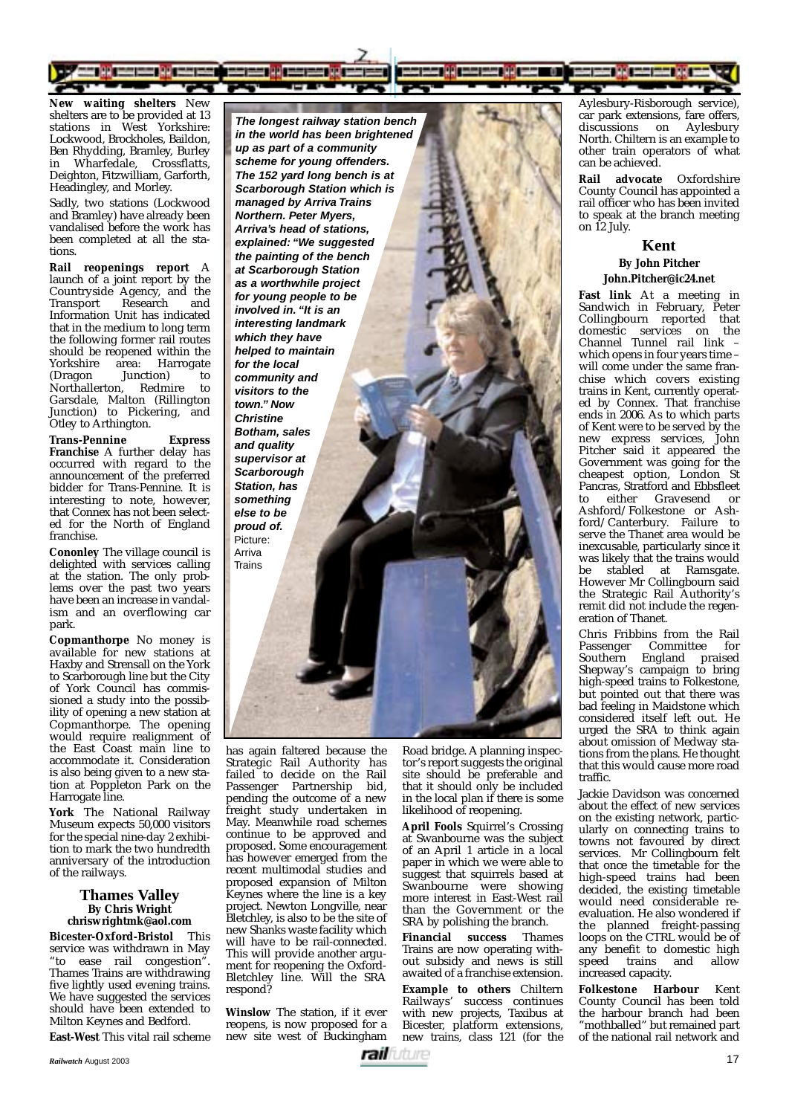

**New waiting shelters** New shelters are to be provided at 13 stations in West Yorkshire: Lockwood, Brockholes, Baildon, Ben Rhydding, Bramley, Burley in Wharfedale, Crossflatts, Deighton, Fitzwilliam, Garforth, Headingley, and Morley.

Sadly, two stations (Lockwood and Bramley) have already been vandalised before the work has been completed at all the stations.

**Rail reopenings report** A launch of a joint report by the Countryside Agency, and the<br>Transport Research and Transport Research and Information Unit has indicated that in the medium to long term the following former rail routes should be reopened within the<br>Yorkshire area: Harrogate Yorkshire area: Harrogate<br>(Dragon Junction) to Junction) to<br>n. Redmire to Northallerton, Redmire to Garsdale, Malton (Rillington Junction) to Pickering, and Otley to Arthington.

**Trans-Pennine Express Franchise** A further delay has occurred with regard to the announcement of the preferred bidder for Trans-Pennine. It is interesting to note, however, that Connex has not been selected for the North of England franchise.

**Cononley** The village council is delighted with services calling at the station. The only problems over the past two years have been an increase in vandalism and an overflowing car park.

**Copmanthorpe** No money is available for new stations at Haxby and Strensall on the York to Scarborough line but the City of York Council has commissioned a study into the possibility of opening a new station at Copmanthorpe. The opening would require realignment of the East Coast main line to accommodate it. Consideration is also being given to a new station at Poppleton Park on the Harrogate line.

**York** The National Railway Museum expects 50,000 visitors for the special nine-day 2 exhibition to mark the two hundredth anniversary of the introduction of the railways.

#### **Thames Valley By Chris Wright chriswrightmk@aol.com**

**Bicester-Oxford-Bristol** This service was withdrawn in May "to ease rail congestion". Thames Trains are withdrawing five lightly used evening trains. We have suggested the services should have been extended to Milton Keynes and Bedford.

**East-West** This vital rail scheme

**The longest railway station bench in the world has been brightened up as part of a community scheme for young offenders. The 152 yard long bench is at Scarborough Station which is managed by Arriva Trains Northern. Peter Myers, Arriva's head of stations, explained: "We suggested the painting of the bench at Scarborough Station as a worthwhile project for young people to be involved in. "It is an interesting landmark which they have helped to maintain for the local community and visitors to the town." Now Christine Botham, sales and quality supervisor at Scarborough Station, has something else to be proud of.** Picture: Arriva **Trains** 

has again faltered because the Strategic Rail Authority has failed to decide on the Rail Passenger Partnership bid, pending the outcome of a new freight study undertaken in May. Meanwhile road schemes continue to be approved and proposed. Some encouragement has however emerged from the recent multimodal studies and proposed expansion of Milton Keynes where the line is a key project. Newton Longville, near Bletchley, is also to be the site of new Shanks waste facility which will have to be rail-connected. This will provide another argument for reopening the Oxford-Bletchley line. Will the SRA respond?

**Winslow** The station, if it ever reopens, is now proposed for a new site west of Buckingham Road bridge. A planning inspector's report suggests the original site should be preferable and that it should only be included in the local plan if there is some likelihood of reopening.

**April Fools** Squirrel's Crossing at Swanbourne was the subject of an April 1 article in a local paper in which we were able to suggest that squirrels based at Swanbourne were showing more interest in East-West rail than the Government or the SRA by polishing the branch.

**Financial success** Thames Trains are now operating without subsidy and news is still awaited of a franchise extension.

**Example to others** Chiltern Railways' success continues with new projects, Taxibus at Bicester, platform extensions, new trains, class 121 (for the Aylesbury-Risborough service), car park extensions, fare offers, discussions on Aylesbury North. Chiltern is an example to other train operators of what can be achieved.

**Rail advocate** Oxfordshire County Council has appointed a rail officer who has been invited to speak at the branch meeting on 12 July.

#### **Kent**

#### **By John Pitcher John.Pitcher@ic24.net**

**Fast link** At a meeting in Sandwich in February, Peter Collingbourn reported that domestic services on the Channel Tunnel rail link – which opens in four years time – will come under the same franchise which covers existing trains in Kent, currently operated by Connex. That franchise ends in 2006. As to which parts of Kent were to be served by the new express services, John Pitcher said it appeared the Government was going for the cheapest option, London St Pancras, Stratford and Ebbsfleet<br>to either Gravesend or either Gravesend or Ashford/Folkestone or Ashford/Canterbury. Failure to serve the Thanet area would be inexcusable, particularly since it was likely that the trains would be stabled at Ramsgate. However Mr Collingbourn said the Strategic Rail Authority's remit did not include the regeneration of Thanet.

Chris Fribbins from the Rail **Committee** Southern England praised Shepway's campaign to bring high-speed trains to Folkestone, but pointed out that there was bad feeling in Maidstone which considered itself left out. He urged the SRA to think again about omission of Medway stations from the plans. He thought that this would cause more road traffic.

Jackie Davidson was concerned about the effect of new services on the existing network, particularly on connecting trains to towns not favoured by direct services. Mr Collingbourn felt that once the timetable for the high-speed trains had been decided, the existing timetable would need considerable reevaluation. He also wondered if the planned freight-passing loops on the CTRL would be of any benefit to domestic high speed trains and allow increased capacity.

**Folkestone Harbour** Kent County Council has been told the harbour branch had been "mothballed" but remained part of the national rail network and